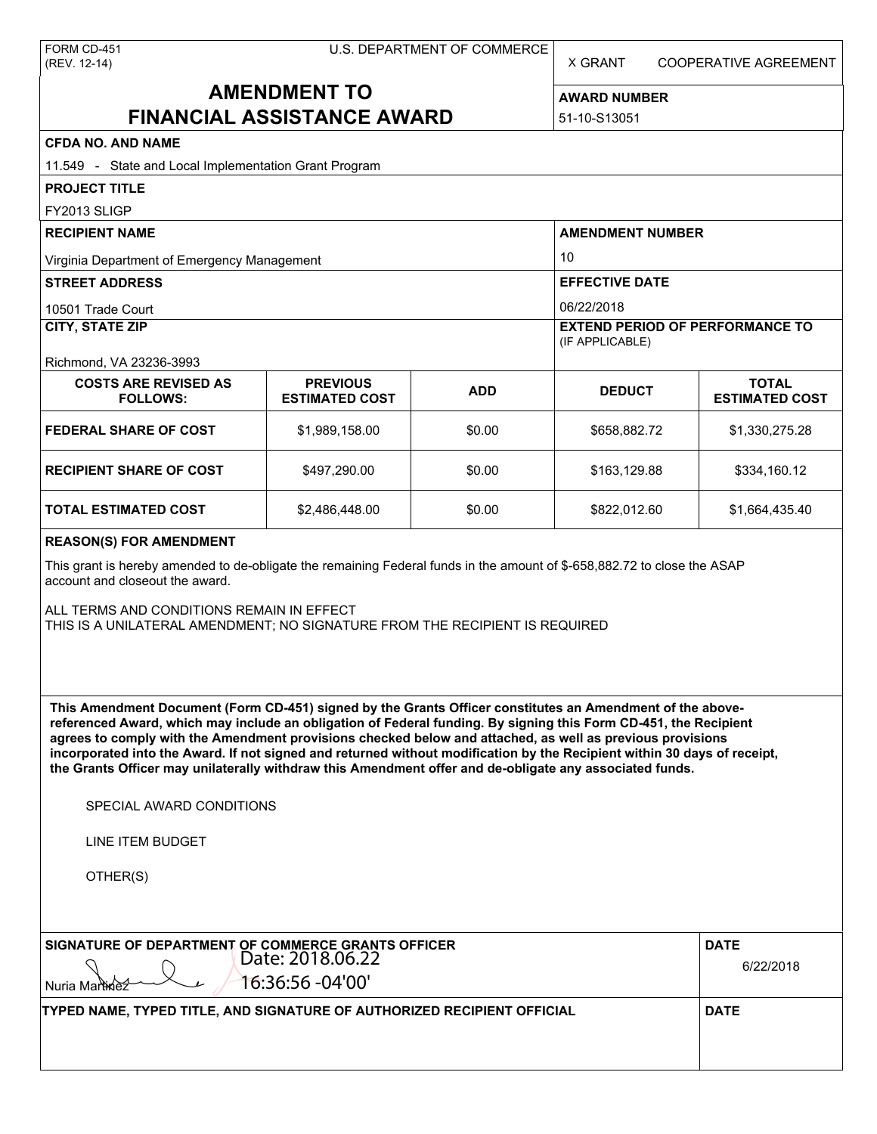X GRANT COOPERATIVE AGREEMENT

# **AMENDMENT TO FINANCIAL ASSISTANCE AWARD**

**AWARD NUMBER**

51-10-S13051

## **CFDA NO. AND NAME**

| <b>CFDA NO. AND NAME</b>                                                                                                                                                                                                                                                                                                                                                                                                                                                                                                                                                          |                                          |            |                                                                         |                                       |  |
|-----------------------------------------------------------------------------------------------------------------------------------------------------------------------------------------------------------------------------------------------------------------------------------------------------------------------------------------------------------------------------------------------------------------------------------------------------------------------------------------------------------------------------------------------------------------------------------|------------------------------------------|------------|-------------------------------------------------------------------------|---------------------------------------|--|
| 11.549 - State and Local Implementation Grant Program                                                                                                                                                                                                                                                                                                                                                                                                                                                                                                                             |                                          |            |                                                                         |                                       |  |
| <b>PROJECT TITLE</b>                                                                                                                                                                                                                                                                                                                                                                                                                                                                                                                                                              |                                          |            |                                                                         |                                       |  |
| FY2013 SLIGP                                                                                                                                                                                                                                                                                                                                                                                                                                                                                                                                                                      |                                          |            |                                                                         |                                       |  |
| <b>RECIPIENT NAME</b>                                                                                                                                                                                                                                                                                                                                                                                                                                                                                                                                                             |                                          |            | <b>AMENDMENT NUMBER</b><br>10<br><b>EFFECTIVE DATE</b>                  |                                       |  |
| Virginia Department of Emergency Management                                                                                                                                                                                                                                                                                                                                                                                                                                                                                                                                       |                                          |            |                                                                         |                                       |  |
| <b>STREET ADDRESS</b>                                                                                                                                                                                                                                                                                                                                                                                                                                                                                                                                                             |                                          |            |                                                                         |                                       |  |
| 10501 Trade Court<br><b>CITY, STATE ZIP</b>                                                                                                                                                                                                                                                                                                                                                                                                                                                                                                                                       |                                          |            | 06/22/2018<br><b>EXTEND PERIOD OF PERFORMANCE TO</b><br>(IF APPLICABLE) |                                       |  |
|                                                                                                                                                                                                                                                                                                                                                                                                                                                                                                                                                                                   |                                          |            |                                                                         |                                       |  |
| <b>COSTS ARE REVISED AS</b><br><b>FOLLOWS:</b>                                                                                                                                                                                                                                                                                                                                                                                                                                                                                                                                    | <b>PREVIOUS</b><br><b>ESTIMATED COST</b> | <b>ADD</b> | <b>DEDUCT</b>                                                           | <b>TOTAL</b><br><b>ESTIMATED COST</b> |  |
| <b>FEDERAL SHARE OF COST</b>                                                                                                                                                                                                                                                                                                                                                                                                                                                                                                                                                      | \$1,989,158.00                           | \$0.00     | \$658,882.72                                                            | \$1,330,275.28                        |  |
| <b>RECIPIENT SHARE OF COST</b>                                                                                                                                                                                                                                                                                                                                                                                                                                                                                                                                                    | \$497,290.00                             | \$0.00     | \$163,129.88                                                            | \$334,160.12                          |  |
| TOTAL ESTIMATED COST                                                                                                                                                                                                                                                                                                                                                                                                                                                                                                                                                              | \$2,486,448.00                           | \$0.00     | \$822,012.60                                                            | \$1,664,435.40                        |  |
| <b>REASON(S) FOR AMENDMENT</b>                                                                                                                                                                                                                                                                                                                                                                                                                                                                                                                                                    |                                          |            |                                                                         |                                       |  |
| This grant is hereby amended to de-obligate the remaining Federal funds in the amount of \$-658,882.72 to close the ASAP<br>account and closeout the award.                                                                                                                                                                                                                                                                                                                                                                                                                       |                                          |            |                                                                         |                                       |  |
| ALL TERMS AND CONDITIONS REMAIN IN EFFECT<br>THIS IS A UNILATERAL AMENDMENT; NO SIGNATURE FROM THE RECIPIENT IS REQUIRED                                                                                                                                                                                                                                                                                                                                                                                                                                                          |                                          |            |                                                                         |                                       |  |
| This Amendment Document (Form CD-451) signed by the Grants Officer constitutes an Amendment of the above-<br>referenced Award, which may include an obligation of Federal funding. By signing this Form CD-451, the Recipient<br>agrees to comply with the Amendment provisions checked below and attached, as well as previous provisions<br>incorporated into the Award. If not signed and returned without modification by the Recipient within 30 days of receipt,<br>the Grants Officer may unilaterally withdraw this Amendment offer and de-obligate any associated funds. |                                          |            |                                                                         |                                       |  |
| SPECIAL AWARD CONDITIONS                                                                                                                                                                                                                                                                                                                                                                                                                                                                                                                                                          |                                          |            |                                                                         |                                       |  |
| LINE ITEM BUDGET                                                                                                                                                                                                                                                                                                                                                                                                                                                                                                                                                                  |                                          |            |                                                                         |                                       |  |
| OTHER(S)                                                                                                                                                                                                                                                                                                                                                                                                                                                                                                                                                                          |                                          |            |                                                                         |                                       |  |
| SIGNATURE OF DEPARTMENT OF COMMERCE GRANTS OFFICER                                                                                                                                                                                                                                                                                                                                                                                                                                                                                                                                | Date: 2018.06.22                         |            |                                                                         | <b>DATE</b><br>6/22/2018              |  |
| Nuria Martinez                                                                                                                                                                                                                                                                                                                                                                                                                                                                                                                                                                    | 16:36:56 -04'00'                         |            |                                                                         |                                       |  |
| TYPED NAME, TYPED TITLE, AND SIGNATURE OF AUTHORIZED RECIPIENT OFFICIAL                                                                                                                                                                                                                                                                                                                                                                                                                                                                                                           |                                          |            |                                                                         | <b>DATE</b>                           |  |